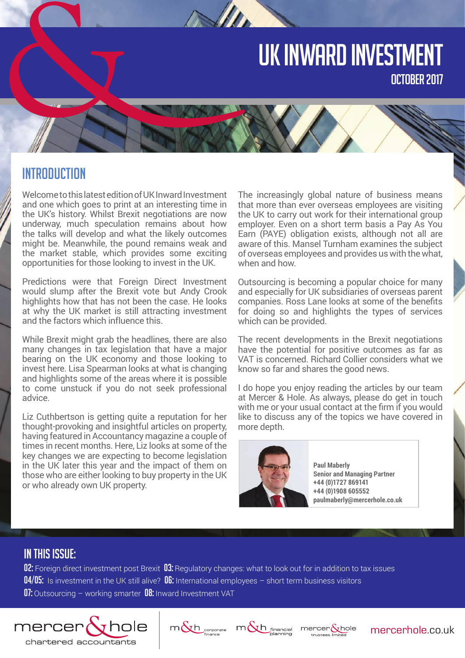### UK Inward Investment OCTOBER 2017

#### Introduction

Welcome to this latest edition of UK Inward Investment and one which goes to print at an interesting time in the UK's history. Whilst Brexit negotiations are now underway, much speculation remains about how the talks will develop and what the likely outcomes might be. Meanwhile, the pound remains weak and the market stable, which provides some exciting opportunities for those looking to invest in the UK.

Predictions were that Foreign Direct Investment would slump after the Brexit vote but Andy Crook highlights how that has not been the case. He looks at why the UK market is still attracting investment and the factors which influence this.

While Brexit might grab the headlines, there are also many changes in tax legislation that have a major bearing on the UK economy and those looking to invest here. Lisa Spearman looks at what is changing and highlights some of the areas where it is possible to come unstuck if you do not seek professional advice.

Liz Cuthbertson is getting quite a reputation for her thought-provoking and insightful articles on property, having featured in Accountancy magazine a couple of times in recent months. Here, Liz looks at some of the key changes we are expecting to become legislation in the UK later this year and the impact of them on those who are either looking to buy property in the UK or who already own UK property.

The increasingly global nature of business means that more than ever overseas employees are visiting the UK to carry out work for their international group employer. Even on a short term basis a Pay As You Earn (PAYE) obligation exists, although not all are aware of this. Mansel Turnham examines the subject of overseas employees and provides us with the what, when and how

Outsourcing is becoming a popular choice for many and especially for UK subsidiaries of overseas parent companies. Ross Lane looks at some of the benefits for doing so and highlights the types of services which can be provided.

The recent developments in the Brexit negotiations have the potential for positive outcomes as far as VAT is concerned. Richard Collier considers what we know so far and shares the good news.

I do hope you enjoy reading the articles by our team at Mercer & Hole. As always, please do get in touch with me or your usual contact at the firm if you would like to discuss any of the topics we have covered in more depth.



**Paul Maberly Senior and Managing Partner +44 (0)1727 869141 +44 (0)1908 605552 paulmaberly@mercerhole.co.uk**

#### IN THIS ISSUE:

02: Foreign direct investment post Brexit 03: Regulatory changes: what to look out for in addition to tax issues **04/05:** Is investment in the UK still alive? **06:** International employees  $-$  short term business visitors **07:** Outsourcing – working smarter **08:** Inward Investment VAT









mercerhole.co.uk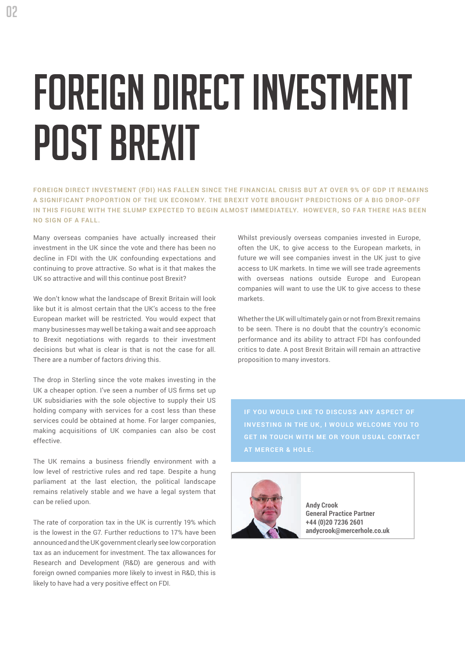## Foreign Direct Investment Post Brexit

**FOREIGN DIRECT INVESTMENT (FDI) HAS FALLEN SINCE THE FINANCIAL CRISIS BUT AT OVER 9% OF GDP IT REMAINS A SIGNIFICANT PROPORTION OF THE UK ECONOMY. THE BREXIT VOTE BROUGHT PREDICTIONS OF A BIG DROP-OFF**  IN THIS FIGURE WITH THE SLUMP EXPECTED TO BEGIN ALMOST IMMEDIATELY. HOWEVER, SO FAR THERE HAS BEEN **NO SIGN OF A FALL.** 

Many overseas companies have actually increased their investment in the UK since the vote and there has been no decline in FDI with the UK confounding expectations and continuing to prove attractive. So what is it that makes the UK so attractive and will this continue post Brexit?

We don't know what the landscape of Brexit Britain will look like but it is almost certain that the UK's access to the free European market will be restricted. You would expect that many businesses may well be taking a wait and see approach to Brexit negotiations with regards to their investment decisions but what is clear is that is not the case for all. There are a number of factors driving this.

The drop in Sterling since the vote makes investing in the UK a cheaper option. I've seen a number of US firms set up UK subsidiaries with the sole objective to supply their US holding company with services for a cost less than these services could be obtained at home. For larger companies, making acquisitions of UK companies can also be cost effective.

The UK remains a business friendly environment with a low level of restrictive rules and red tape. Despite a hung parliament at the last election, the political landscape remains relatively stable and we have a legal system that can be relied upon.

The rate of corporation tax in the UK is currently 19% which is the lowest in the G7. Further reductions to 17% have been announced and the UK government clearly see low corporation tax as an inducement for investment. The tax allowances for Research and Development (R&D) are generous and with foreign owned companies more likely to invest in R&D, this is likely to have had a very positive effect on FDI.

Whilst previously overseas companies invested in Europe, often the UK, to give access to the European markets, in future we will see companies invest in the UK just to give access to UK markets. In time we will see trade agreements with overseas nations outside Europe and European companies will want to use the UK to give access to these markets.

Whether the UK will ultimately gain or not from Brexit remains to be seen. There is no doubt that the country's economic performance and its ability to attract FDI has confounded critics to date. A post Brexit Britain will remain an attractive proposition to many investors.

**IF YOU WOULD LIKE TO DISCUSS ANY ASPECT OF IN V ES TING IN THE UK , I WOULD WELCOME YOU TO AT MERCER & HOLE.**



**Andy Crook General Practice Partner +44 (0)20 7236 2601 andycrook@mercerhole.co.uk**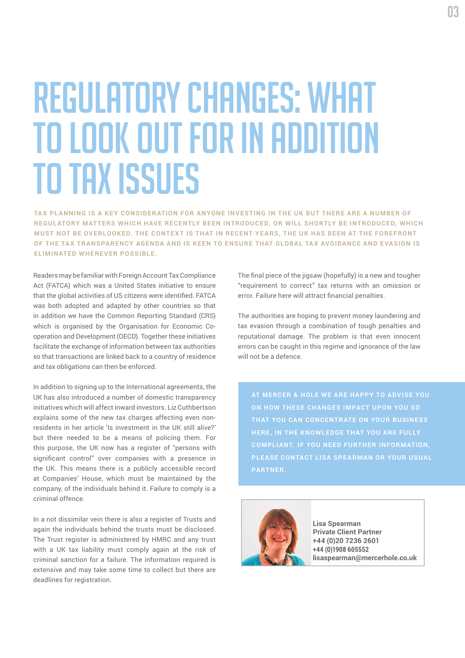### Regulatory changes: what to look out for in addition to tax issues

TAX PLANNING IS A KEY CONSIDERATION FOR ANYONE INVESTING IN THE UK BUT THERE ARE A NUMBER OF REGULATORY MATTERS WHICH HAVE RECENTLY BEEN INTRODUCED, OR WILL SHORTLY BE INTRODUCED, WHICH **MUST NOT BE OVERLOOKED. THE CONTEXT IS THAT IN RECENT YEARS. THE UK HAS BEEN AT THE FOREFRONT** OF THE TAX TRANSPARENCY AGENDA AND IS KEEN TO ENSURE THAT GLOBAL TAX AVOIDANCE AND EVASION IS **ELIMINATED WHEREVER POSSIBLE.** 

Readers may be familiar with Foreign Account Tax Compliance Act (FATCA) which was a United States initiative to ensure that the global activities of US citizens were identified. FATCA was both adopted and adapted by other countries so that in addition we have the Common Reporting Standard (CRS) which is organised by the Organisation for Economic Cooperation and Development (OECD). Together these initiatives facilitate the exchange of information between tax authorities so that transactions are linked back to a country of residence and tax obligations can then be enforced.

In addition to signing up to the International agreements, the UK has also introduced a number of domestic transparency initiatives which will affect inward investors. Liz Cuthbertson explains some of the new tax charges affecting even nonresidents in her article 'Is investment in the UK still alive?' but there needed to be a means of policing them. For this purpose, the UK now has a register of "persons with significant control" over companies with a presence in the UK. This means there is a publicly accessible record at Companies' House, which must be maintained by the company, of the individuals behind it. Failure to comply is a criminal offence.

In a not dissimilar vein there is also a register of Trusts and again the individuals behind the trusts must be disclosed. The Trust register is administered by HMRC and any trust with a UK tax liability must comply again at the risk of criminal sanction for a failure. The information required is extensive and may take some time to collect but there are deadlines for registration.

The final piece of the jigsaw (hopefully) is a new and tougher "requirement to correct" tax returns with an omission or error. Failure here will attract financial penalties.

The authorities are hoping to prevent money laundering and tax evasion through a combination of tough penalties and reputational damage. The problem is that even innocent errors can be caught in this regime and ignorance of the law will not be a defence.

**AT MERCER & HOLE WE A RE H A PPY TO A DVISE YOU ON HOW THESE CHANGES IMPACT UPON YOU SO THAT YOU CAN CONCENTRATE ON YOUR BUSINESS HERE, IN THE KNOWLEDGE THAT YOU ARE FULLY PLEASE CONTACT LISA SPEARMAN OR YOUR USUAL PA RTNER .** 



**Lisa Spearman Private Client Partner +44 (0)20 7236 2601 +44 (0)1908 605552 lisaspearman@mercerhole.co.uk**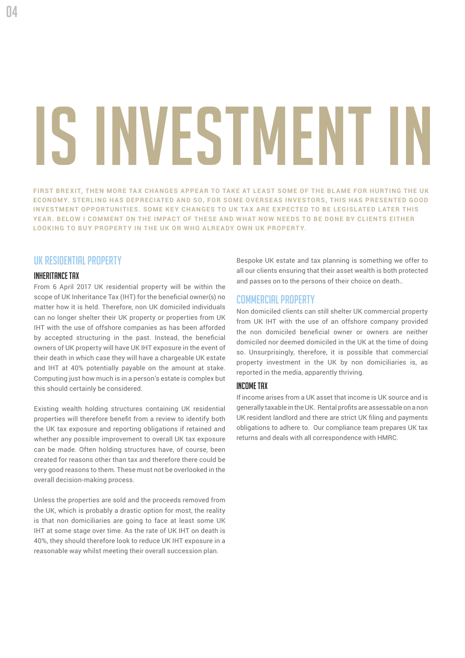# S INVESTMENT

**FIRST BREXIT, THEN MORE TAX CHANGES APPEAR TO TAKE AT LEAST SOME OF THE BLAME FOR HURTING THE UK** ECONOMY. STERLING HAS DEPRECIATED AND SO, FOR SOME OVERSEAS INVESTORS, THIS HAS PRESENTED GOOD **INVESTMENT OPPORTUNITIES. SOME KEY CHANGES TO UK TAX ARE EXPECTED TO BE LEGISLATED LATER THIS** YEAR. BELOW I COMMENT ON THE IMPACT OF THESE AND WHAT NOW NEEDS TO BE DONE BY CLIENTS EITHER **LOOKING TO BUY PROPERTY IN THE UK OR WHO ALREADY OWN UK PROPERTY.** 

#### UK RESIDENTIAL PROPERTY

#### INHERITANCE TAX

From 6 April 2017 UK residential property will be within the scope of UK Inheritance Tax (IHT) for the beneficial owner(s) no matter how it is held. Therefore, non UK domiciled individuals can no longer shelter their UK property or properties from UK IHT with the use of offshore companies as has been afforded by accepted structuring in the past. Instead, the beneficial owners of UK property will have UK IHT exposure in the event of their death in which case they will have a chargeable UK estate and IHT at 40% potentially payable on the amount at stake. Computing just how much is in a person's estate is complex but this should certainly be considered.

Existing wealth holding structures containing UK residential properties will therefore benefit from a review to identify both the UK tax exposure and reporting obligations if retained and whether any possible improvement to overall UK tax exposure can be made. Often holding structures have, of course, been created for reasons other than tax and therefore there could be very good reasons to them. These must not be overlooked in the overall decision-making process.

Unless the properties are sold and the proceeds removed from the UK, which is probably a drastic option for most, the reality is that non domiciliaries are going to face at least some UK IHT at some stage over time. As the rate of UK IHT on death is 40%, they should therefore look to reduce UK IHT exposure in a reasonable way whilst meeting their overall succession plan.

Bespoke UK estate and tax planning is something we offer to all our clients ensuring that their asset wealth is both protected and passes on to the persons of their choice on death..

#### COMMERCIAL PROPERTY

Non domiciled clients can still shelter UK commercial property from UK IHT with the use of an offshore company provided the non domiciled beneficial owner or owners are neither domiciled nor deemed domiciled in the UK at the time of doing so. Unsurprisingly, therefore, it is possible that commercial property investment in the UK by non domiciliaries is, as reported in the media, apparently thriving.

#### INCOME TAX

If income arises from a UK asset that income is UK source and is generally taxable in the UK. Rental profits are assessable on a non UK resident landlord and there are strict UK filing and payments obligations to adhere to. Our compliance team prepares UK tax returns and deals with all correspondence with HMRC.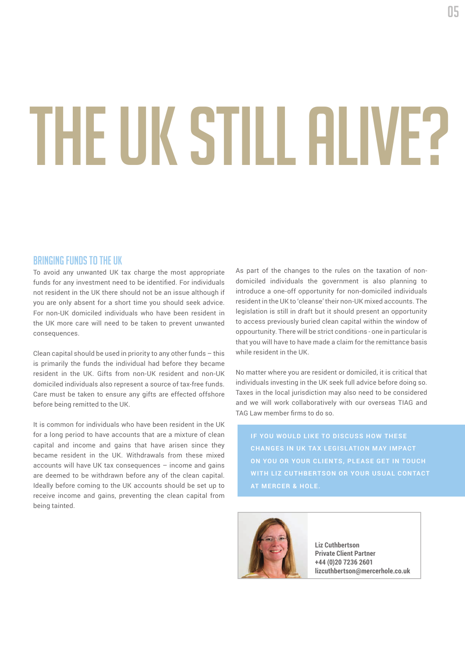### 05

# THE UK STILL ALIVE?

#### BRINGING FUNDS TO THE UK

To avoid any unwanted UK tax charge the most appropriate funds for any investment need to be identified. For individuals not resident in the UK there should not be an issue although if you are only absent for a short time you should seek advice. For non-UK domiciled individuals who have been resident in the UK more care will need to be taken to prevent unwanted consequences.

Clean capital should be used in priority to any other funds – this is primarily the funds the individual had before they became resident in the UK. Gifts from non-UK resident and non-UK domiciled individuals also represent a source of tax-free funds. Care must be taken to ensure any gifts are effected offshore before being remitted to the UK.

It is common for individuals who have been resident in the UK for a long period to have accounts that are a mixture of clean capital and income and gains that have arisen since they became resident in the UK. Withdrawals from these mixed accounts will have UK tax consequences – income and gains are deemed to be withdrawn before any of the clean capital. Ideally before coming to the UK accounts should be set up to receive income and gains, preventing the clean capital from being tainted.

As part of the changes to the rules on the taxation of nondomiciled individuals the government is also planning to introduce a one-off opportunity for non-domiciled individuals resident in the UK to 'cleanse' their non-UK mixed accounts. The legislation is still in draft but it should present an opportunity to access previously buried clean capital within the window of oppourtunity. There will be strict conditions - one in particular is that you will have to have made a claim for the remittance basis while resident in the UK.

No matter where you are resident or domiciled, it is critical that individuals investing in the UK seek full advice before doing so. Taxes in the local jurisdiction may also need to be considered and we will work collaboratively with our overseas TIAG and TAG Law member firms to do so.

**IF YOU WOULD LIKE TO DISCUSS HOW THESE ON YOU OR YOUR CLIENTS, PLEASE GET IN TOUCH** 



**Liz Cuthbertson Private Client Partner +44 (0)20 7236 2601 lizcuthbertson@mercerhole.co.uk**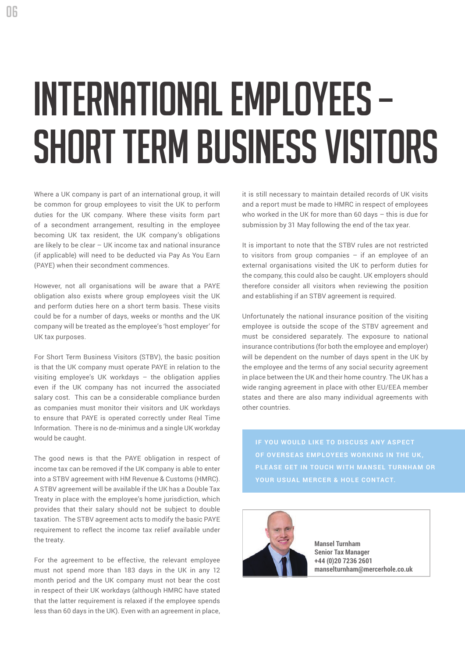### International employees – Short Term Business Visitors

Where a UK company is part of an international group, it will be common for group employees to visit the UK to perform duties for the UK company. Where these visits form part of a secondment arrangement, resulting in the employee becoming UK tax resident, the UK company's obligations are likely to be clear – UK income tax and national insurance (if applicable) will need to be deducted via Pay As You Earn (PAYE) when their secondment commences.

However, not all organisations will be aware that a PAYE obligation also exists where group employees visit the UK and perform duties here on a short term basis. These visits could be for a number of days, weeks or months and the UK company will be treated as the employee's 'host employer' for UK tax purposes.

For Short Term Business Visitors (STBV), the basic position is that the UK company must operate PAYE in relation to the visiting employee's UK workdays – the obligation applies even if the UK company has not incurred the associated salary cost. This can be a considerable compliance burden as companies must monitor their visitors and UK workdays to ensure that PAYE is operated correctly under Real Time Information. There is no de-minimus and a single UK workday would be caught.

The good news is that the PAYE obligation in respect of income tax can be removed if the UK company is able to enter into a STBV agreement with HM Revenue & Customs (HMRC). A STBV agreement will be available if the UK has a Double Tax Treaty in place with the employee's home jurisdiction, which provides that their salary should not be subject to double taxation. The STBV agreement acts to modify the basic PAYE requirement to reflect the income tax relief available under the treaty.

For the agreement to be effective, the relevant employee must not spend more than 183 days in the UK in any 12 month period and the UK company must not bear the cost in respect of their UK workdays (although HMRC have stated that the latter requirement is relaxed if the employee spends less than 60 days in the UK). Even with an agreement in place,

it is still necessary to maintain detailed records of UK visits and a report must be made to HMRC in respect of employees who worked in the UK for more than 60 days – this is due for submission by 31 May following the end of the tax year.

It is important to note that the STBV rules are not restricted to visitors from group companies – if an employee of an external organisations visited the UK to perform duties for the company, this could also be caught. UK employers should therefore consider all visitors when reviewing the position and establishing if an STBV agreement is required.

Unfortunately the national insurance position of the visiting employee is outside the scope of the STBV agreement and must be considered separately. The exposure to national insurance contributions (for both the employee and employer) will be dependent on the number of days spent in the UK by the employee and the terms of any social security agreement in place between the UK and their home country. The UK has a wide ranging agreement in place with other EU/EEA member states and there are also many individual agreements with other countries.

**IF YOU WOULD LIKE TO DISCUSS ANY ASPECT OF OVERSEAS EMPLOYEES WORKING IN THE UK, PLEASE GET IN TOUCH WITH MANSEL TURNHAM OR YOUR USUAL MERCER & HOLE CONTACT.**



**Mansel Turnham Senior Tax Manager +44 (0)20 7236 2601 manselturnham@mercerhole.co.uk**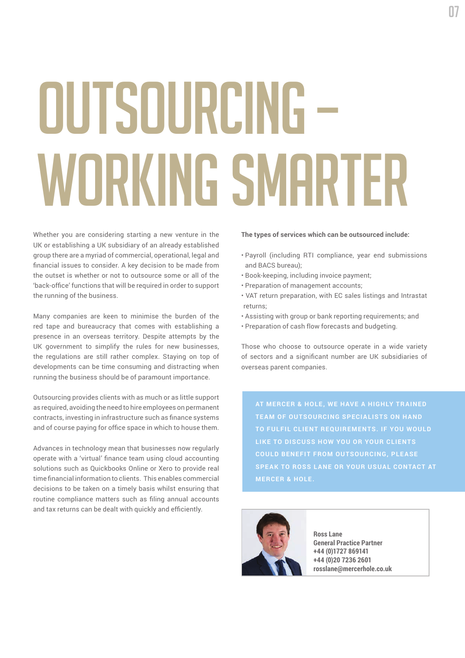## Outsourcing – WORKING SMARTER

Whether you are considering starting a new venture in the UK or establishing a UK subsidiary of an already established group there are a myriad of commercial, operational, legal and financial issues to consider. A key decision to be made from the outset is whether or not to outsource some or all of the 'back-office' functions that will be required in order to support the running of the business.

Many companies are keen to minimise the burden of the red tape and bureaucracy that comes with establishing a presence in an overseas territory. Despite attempts by the UK government to simplify the rules for new businesses, the regulations are still rather complex. Staying on top of developments can be time consuming and distracting when running the business should be of paramount importance.

Outsourcing provides clients with as much or as little support as required, avoiding the need to hire employees on permanent contracts, investing in infrastructure such as finance systems and of course paying for office space in which to house them.

Advances in technology mean that businesses now regularly operate with a 'virtual' finance team using cloud accounting solutions such as Quickbooks Online or Xero to provide real time financial information to clients. This enables commercial decisions to be taken on a timely basis whilst ensuring that routine compliance matters such as filing annual accounts and tax returns can be dealt with quickly and efficiently.

#### **The types of services which can be outsourced include:**

- Payroll (including RTI compliance, year end submissions and BACS bureau);
- Book-keeping, including invoice payment;
- Preparation of management accounts;
- VAT return preparation, with EC sales listings and Intrastat returns;
- Assisting with group or bank reporting requirements; and
- Preparation of cash flow forecasts and budgeting.

Those who choose to outsource operate in a wide variety of sectors and a significant number are UK subsidiaries of overseas parent companies.

**TEAM OF OUTSOURCING SPECIALISTS ON HAND TO FULFIL CLIENT REQUIREMENTS. IF YOU WOULD LIK E TO DISCUSS HOW YOU OR YOUR CLIENTS COULD BENEFIT FROM OUTSOURCING, PLEASE SPEAK TO ROSS LANE OR YOUR USUAL CONTACT AT MERCER & HOLE.**



**Ross Lane General Practice Partner +44 (0)1727 869141 +44 (0)20 7236 2601 rosslane@mercerhole.co.uk**